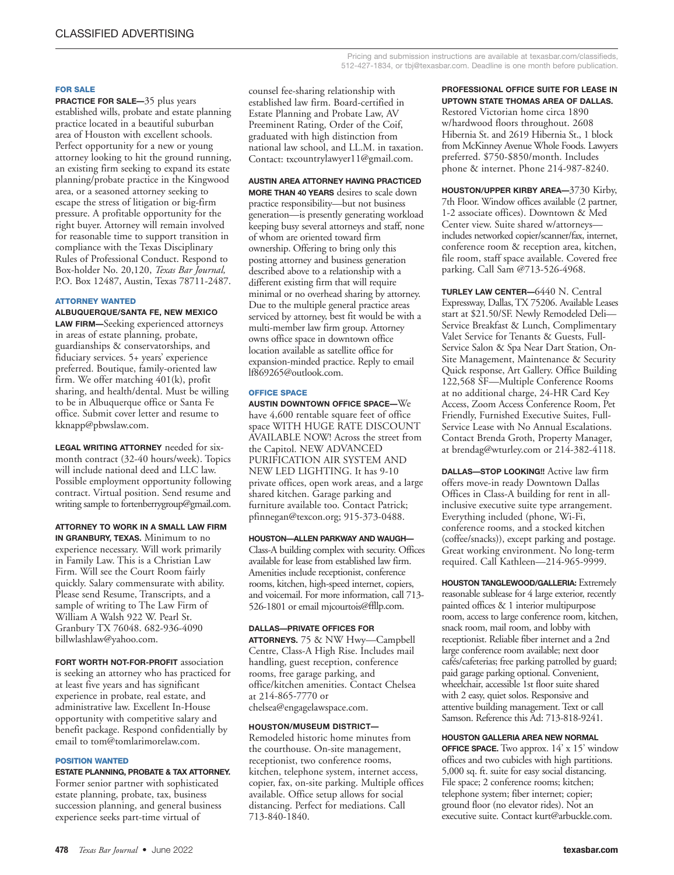## **FOR SALE**

**PRACTICE FOR SALE—**35 plus years established wills, probate and estate planning practice located in a beautiful suburban area of Houston with excellent schools. Perfect opportunity for a new or young attorney looking to hit the ground running, an existing firm seeking to expand its estate planning/probate practice in the Kingwood area, or a seasoned attorney seeking to escape the stress of litigation or big-firm pressure. A profitable opportunity for the right buyer. Attorney will remain involved for reasonable time to support transition in compliance with the Texas Disciplinary Rules of Professional Conduct. Respond to Box-holder No. 20,120, *Texas Bar Journal,* P.O. Box 12487, Austin, Texas 78711-2487.

## **ATTORNEY WANTED**

**ALBUQUERQUE/SANTA FE, NEW MEXICO LAW FIRM—**Seeking experienced attorneys in areas of estate planning, probate, guardianships & conservatorships, and fiduciary services. 5+ years' experience preferred. Boutique, family-oriented law firm. We offer matching 401(k), profit sharing, and health/dental. Must be willing to be in Albuquerque office or Santa Fe office. Submit cover letter and resume to kknapp@pbwslaw.com.

**LEGAL WRITING ATTORNEY** needed for sixmonth contract (32-40 hours/week). Topics will include national deed and LLC law. Possible employment opportunity following contract. Virtual position. Send resume and writing sample to fortenberrygroup@gmail.com.

**ATTORNEY TO WORK IN A SMALL LAW FIRM IN GRANBURY, TEXAS.** Minimum to no experience necessary. Will work primarily in Family Law. This is a Christian Law Firm. Will see the Court Room fairly quickly. Salary commensurate with ability. Please send Resume, Transcripts, and a sample of writing to The Law Firm of William A Walsh 922 W. Pearl St. Granbury TX 76048. 682-936-4090 billwlashlaw@yahoo.com.

**FORT WORTH NOT-FOR-PROFIT** association is seeking an attorney who has practiced for at least five years and has significant experience in probate, real estate, and administrative law. Excellent In-House opportunity with competitive salary and benefit package. Respond confidentially by email to tom@tomlarimorelaw.com.

## **POSITION WANTED**

**ESTATE PLANNING, PROBATE & TAX ATTORNEY.** Former senior partner with sophisticated estate planning, probate, tax, business succession planning, and general business experience seeks part-time virtual of

counsel fee-sharing relationship with established law firm. Board-certified in Estate Planning and Probate Law, AV Preeminent Rating, Order of the Coif, graduated with high distinction from national law school, and LL.M. in taxation. Contact: txcountrylawyer11@gmail.com.

## **AUSTIN AREA ATTORNEY HAVING PRACTICED**

**MORE THAN 40 YEARS** desires to scale down practice responsibility—but not business generation—is presently generating workload keeping busy several attorneys and staff, none of whom are oriented toward firm ownership. Offering to bring only this posting attorney and business generation described above to a relationship with a different existing firm that will require minimal or no overhead sharing by attorney. Due to the multiple general practice areas serviced by attorney, best fit would be with a multi-member law firm group. Attorney owns office space in downtown office location available as satellite office for expansion-minded practice. Reply to email lf869265@outlook.com.

#### **OFFICE SPACE**

**AUSTIN DOWNTOWN OFFICE SPACE—**We have 4,600 rentable square feet of office space WITH HUGE RATE DISCOUNT AVAILABLE NOW! Across the street from the Capitol. NEW ADVANCED PURIFICATION AIR SYSTEM AND NEW LED LIGHTING. It has 9-10 private offices, open work areas, and a large shared kitchen. Garage parking and furniture available too. Contact Patrick; <sup>p</sup>finnegan@texcon.org; 915-373-0488.

## **HOUSTON—ALLEN PARKWAY AND WAUGH—**

Class-A building complex with security. Offices available for lease from established law firm. Amenities include receptionist, conference rooms, kitchen, high-speed internet, copiers, and voicemail. For more information, call 713- 526-1801 or email mjcourtois@ffllp.com.

#### **DALLAS—PRIVATE OFFICES FOR**

**ATTORNEYS.** 75 & NW Hwy—Campbell Centre, Class-A High Rise. Includes mail handling, guest reception, conference rooms, free garage parking, and office/kitchen amenities. Contact Chelsea at 214-865-7770 or chelsea@engagelawspace.com.

# **HOUSTON/MUSEUM DISTRICT—**

Remodeled historic home minutes from the courthouse. On-site management, receptionist, two conference rooms, kitchen, telephone system, internet access, copier, fax, on-site parking. Multiple offices available. Office setup allows for social distancing. Perfect for mediations. Call 713-840-1840.

**PROFESSIONAL OFFICE SUITE FOR LEASE IN UPTOWN STATE THOMAS AREA OF DALLAS.**

Restored Victorian home circa 1890 w/hardwood floors throughout. 2608 Hibernia St. and 2619 Hibernia St., 1 block from McKinney Avenue Whole Foods. Lawyers preferred. \$750-\$850/month. Includes phone & internet. Phone 214-987-8240.

**HOUSTON/UPPER KIRBY AREA—**3730 Kirby, 7th Floor. Window offices available (2 partner, 1-2 associate offices). Downtown & Med Center view. Suite shared w/attorneys includes networked copier/scanner/fax, internet, conference room & reception area, kitchen, file room, staff space available. Covered free parking. Call Sam @713-526-4968.

**TURLEY LAW CENTER—**6440 N. Central Expressway, Dallas, TX 75206. Available Leases start at \$21.50/SF. Newly Remodeled Deli— Service Breakfast & Lunch, Complimentary Valet Service for Tenants & Guests, Full-Service Salon & Spa Near Dart Station, On-Site Management, Maintenance & Security Quick response, Art Gallery. Office Building 122,568 SF—Multiple Conference Rooms at no additional charge, 24-HR Card Key Access, Zoom Access Conference Room, Pet Friendly, Furnished Executive Suites, Full-Service Lease with No Annual Escalations. Contact Brenda Groth, Property Manager, at brendag@wturley.com or 214-382-4118.

**DALLAS—STOP LOOKING!!** Active law firm offers move-in ready Downtown Dallas Offices in Class-A building for rent in allinclusive executive suite type arrangement. Everything included (phone, Wi-Fi, conference rooms, and a stocked kitchen (coffee/snacks)), except parking and postage. Great working environment. No long-term required. Call Kathleen—214-965-9999.

**HOUSTON TANGLEWOOD/GALLERIA:** Extremely reasonable sublease for 4 large exterior, recently painted offices & 1 interior multipurpose room, access to large conference room, kitchen, snack room, mail room, and lobby with receptionist. Reliable fiber internet and a 2nd large conference room available; next door cafés/cafeterias; free parking patrolled by guard; paid garage parking optional. Convenient, wheelchair, accessible 1st floor suite shared with 2 easy, quiet solos. Responsive and attentive building management. Text or call Samson. Reference this Ad: 713-818-9241.

## **HOUSTON GALLERIA AREA NEW NORMAL**

**OFFICE SPACE.** Two approx. 14' x 15' window offices and two cubicles with high partitions. 5,000 sq. ft. suite for easy social distancing. File space; 2 conference rooms; kitchen; telephone system; fiber internet; copier; ground floor (no elevator rides). Not an executive suite. Contact kurt@arbuckle.com.